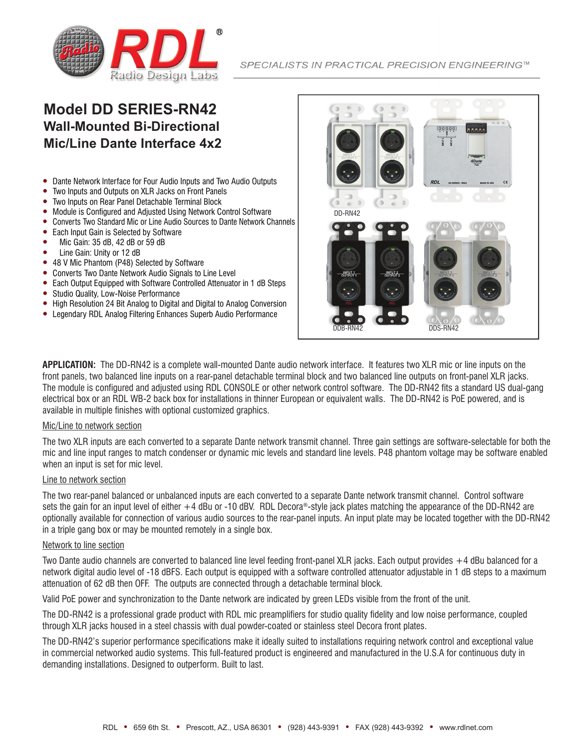

# **Model DD SERIES-RN42 Wall-Mounted Bi-Directional Mic/Line Dante Interface 4x2**

- Dante Network Interface for Four Audio Inputs and Two Audio Outputs
- Two Inputs and Outputs on XLR Jacks on Front Panels
- Two Inputs on Rear Panel Detachable Terminal Block
- Module is Configured and Adjusted Using Network Control Software
- Converts Two Standard Mic or Line Audio Sources to Dante Network Channels
- Each Input Gain is Selected by Software
- y Mic Gain: 35 dB, 42 dB or 59 dB
- Line Gain: Unity or 12 dB
- 48 V Mic Phantom (P48) Selected by Software
- Converts Two Dante Network Audio Signals to Line Level
- Each Output Equipped with Software Controlled Attenuator in 1 dB Steps
- Studio Quality, Low-Noise Performance
- High Resolution 24 Bit Analog to Digital and Digital to Analog Conversion
- Legendary RDL Analog Filtering Enhances Superb Audio Performance



**APPLICATION:** The DD-RN42 is a complete wall-mounted Dante audio network interface. It features two XLR mic or line inputs on the front panels, two balanced line inputs on a rear-panel detachable terminal block and two balanced line outputs on front-panel XLR jacks. The module is configured and adjusted using RDL CONSOLE or other network control software. The DD-RN42 fits a standard US dual-gang electrical box or an RDL WB-2 back box for installations in thinner European or equivalent walls. The DD-RN42 is PoE powered, and is available in multiple finishes with optional customized graphics.

### Mic/Line to network section

The two XLR inputs are each converted to a separate Dante network transmit channel. Three gain settings are software-selectable for both the mic and line input ranges to match condenser or dynamic mic levels and standard line levels. P48 phantom voltage may be software enabled when an input is set for mic level.

### Line to network section

The two rear-panel balanced or unbalanced inputs are each converted to a separate Dante network transmit channel. Control software sets the gain for an input level of either +4 dBu or -10 dBV. RDL Decora®-style jack plates matching the appearance of the DD-RN42 are optionally available for connection of various audio sources to the rear-panel inputs. An input plate may be located together with the DD-RN42 in a triple gang box or may be mounted remotely in a single box.

## Network to line section

Two Dante audio channels are converted to balanced line level feeding front-panel XLR jacks. Each output provides +4 dBu balanced for a network digital audio level of -18 dBFS. Each output is equipped with a software controlled attenuator adjustable in 1 dB steps to a maximum attenuation of 62 dB then OFF. The outputs are connected through a detachable terminal block.

Valid PoE power and synchronization to the Dante network are indicated by green LEDs visible from the front of the unit.

The DD-RN42 is a professional grade product with RDL mic preamplifiers for studio quality fidelity and low noise performance, coupled through XLR jacks housed in a steel chassis with dual powder-coated or stainless steel Decora front plates.

The DD-RN42's superior performance specifications make it ideally suited to installations requiring network control and exceptional value in commercial networked audio systems. This full-featured product is engineered and manufactured in the U.S.A for continuous duty in demanding installations. Designed to outperform. Built to last.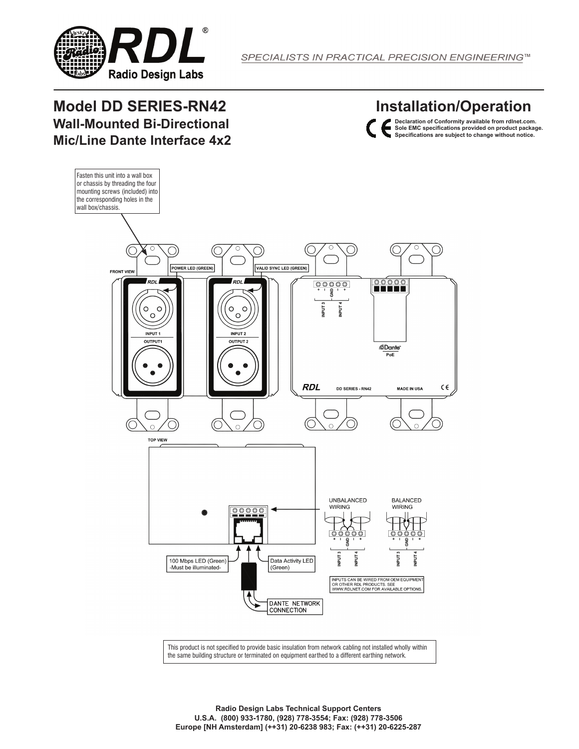

# **Model DD SERIES-RN42 Wall-Mounted Bi-Directional Mic/Line Dante Interface 4x2**

**Installation/Operation**





This product is not specified to provide basic insulation from network cabling not installed wholly within the same building structure or terminated on equipment earthed to a different earthing network.

**Radio Design Labs Technical Support Centers U.S.A. (800) 933-1780, (928) 778-3554; Fax: (928) 778-3506 Europe [NH Amsterdam] (++31) 20-6238 983; Fax: (++31) 20-6225-287**